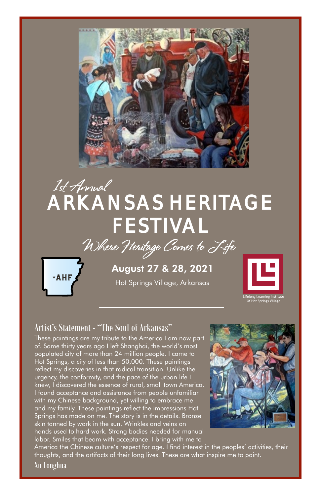

# ARKANSAS HERITAGE FESTIVAL 1st Annual





August 27 & 28, 2021

Hot Springs Village, Arkansas



etong Learnin<br>Of Hot Spring:

#### Artist's Statement - "The Soul of Arkansas"

These paintings are my tribute to the America I am now part of. Some thirty years ago I left Shanghai, the world's most populated city of more than 24 million people. I came to Hot Springs, a city of less than 50,000. These paintings reflect my discoveries in that radical transition. Unlike the urgency, the conformity, and the pace of the urban life I knew, I discovered the essence of rural, small town America. I found acceptance and assistance from people unfamiliar with my Chinese background, yet willing to embrace me and my family. These paintings reflect the impressions Hot Springs has made on me. The story is in the details. Bronze skin tanned by work in the sun. Wrinkles and veins on hands used to hard work. Strong bodies needed for manual labor. Smiles that beam with acceptance. I bring with me to



America the Chinese culture's respect for age. I find interest in the peoples' activities, their thoughts, and the artifacts of their long lives. These are what inspire me to paint.

Xu Longhua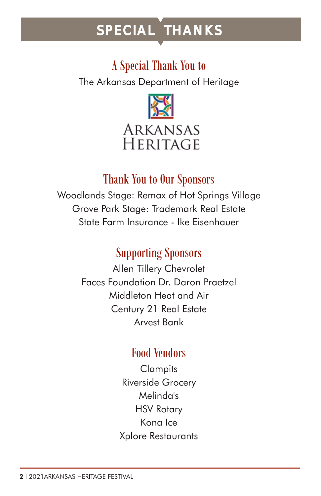# SPECIAL THANKS

### A Special Thank You to

The Arkansas Department of Heritage



### Thank You to Our Sponsors

Woodlands Stage: Remax of Hot Springs Village Grove Park Stage: Trademark Real Estate State Farm Insurance - Ike Eisenhauer

### Supporting Sponsors

Allen Tillery Chevrolet Faces Foundation Dr. Daron Praetzel Middleton Heat and Air Century 21 Real Estate Arvest Bank

### Food Vendors

**Clampits** Riverside Grocery Melinda's HSV Rotary Kona Ice Xplore Restaurants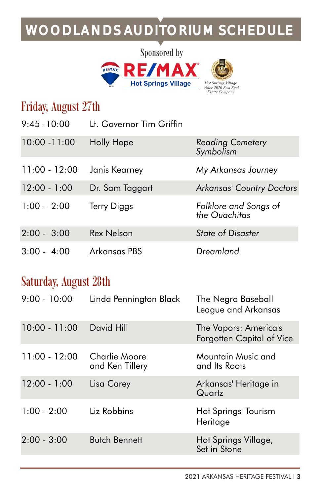## WOODLANDS AUDITORIUM SCHEDULE





*Symbolism*

*the Ouachitas*

### Friday, August 27th

| 9:45 -10:00 | Lt. Governor Tim Griffin |  |
|-------------|--------------------------|--|
|             |                          |  |

- 10:00 -11:00 Holly Hope *Reading Cemetery*
- 11:00 12:00 Janis Kearney *My Arkansas Journey*
- 12:00 1:00 Dr. Sam Taggart *Arkansas' Country Doctors*
- 1:00 2:00 Terry Diggs *Folklore and Songs of*
- 2:00 3:00 Rex Nelson *State of Disaster* 3:00 - 4:00 Arkansas PBS *Dreamland*

### Saturday, August 28th

| Linda Pennington Black           | The Negro Baseball<br>League and Arkansas          |
|----------------------------------|----------------------------------------------------|
| David Hill                       | The Vapors: America's<br>Forgotten Capital of Vice |
| Charlie Moore<br>and Ken Tillery | Mountain Music and<br>and Its Roots                |
| Lisa Carey                       | Arkansas' Heritage in<br>Quartz                    |
| Liz Robbins                      | Hot Springs' Tourism<br>Heritage                   |
| <b>Butch Bennett</b>             | Hot Springs Village,<br>Set in Stone               |
|                                  |                                                    |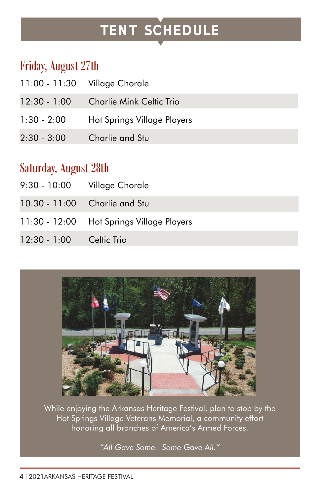# TENT SCHEDULE

### Friday, August 27th

|                | 11:00 - 11:30 Village Chorale   |
|----------------|---------------------------------|
| $12:30 - 1:00$ | <b>Charlie Mink Celtic Trio</b> |
| $1:30 - 2:00$  | Hot Springs Village Players     |
| $2:30 - 3:00$  | Charlie and Stu                 |

### Saturday, August 28th

|                          | 9:30 - 10:00 Village Chorale              |
|--------------------------|-------------------------------------------|
|                          | 10:30 - 11:00 Charlie and Stu             |
|                          | 11:30 - 12:00 Hot Springs Village Players |
| 12:30 - 1:00 Celtic Trio |                                           |



While enjoying the Arkansas Heritage Festival, plan to stop by the Hot Springs Village Veterans Memorial, a community effort honoring all branches of America's Armed Forces.

*"All Gave Some. Some Gave All."*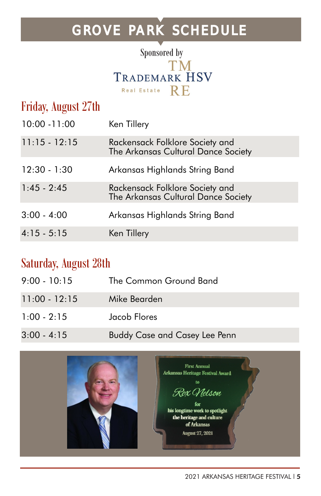## GROVE PARK SCHEDULE



| Friday, August 27th |                                                                        |
|---------------------|------------------------------------------------------------------------|
| $10:00 - 11:00$     | Ken Tillery                                                            |
| $11:15 - 12:15$     | Rackensack Folklore Society and<br>The Arkansas Cultural Dance Society |
| $12:30 - 1:30$      | Arkansas Highlands String Band                                         |
| $1:45 - 2:45$       | Rackensack Folklore Society and<br>The Arkansas Cultural Dance Society |
| $3:00 - 4:00$       | Arkansas Highlands String Band                                         |
| $4:15 - 5:15$       | Ken Tillery                                                            |

### Saturday, August 28th

| $9:00 - 10:15$  | The Common Ground Band               |
|-----------------|--------------------------------------|
| $11:00 - 12:15$ | Mike Bearden                         |
| $1:00 - 2:15$   | Jacob Flores                         |
| $3:00 - 4:15$   | <b>Buddy Case and Casey Lee Penn</b> |

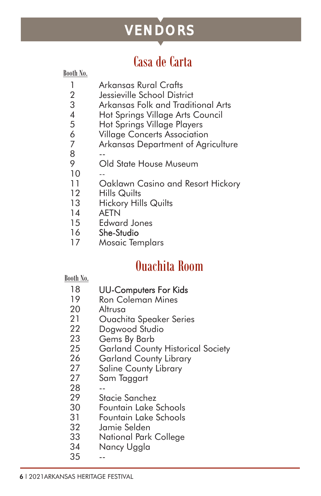# VENDORS

### Casa de Carta

Booth No.

- 1 Arkansas Rural Crafts
- $\mathcal{P}$ Jessieville School District
- 3 Arkansas Folk and Traditional Arts
- 4 Hot Springs Village Arts Council
- 5 Hot Springs Village Players
- 6 Village Concerts Association
- 7 Arkansas Department of Agriculture
- 8 --
- 9 Old State House Museum
- 10 --
- 11 Oaklawn Casino and Resort Hickory
- 12 Hills Quilts
- 13 Hickory Hills Quilts
- 14 AETN
- 15 Edward Jones
- 16 She-Studio
- 17 Mosaic Templars

## Ouachita Room

#### Booth No.

- 18 UU-Computers For Kids
- 19 Ron Coleman Mines
- 20 Altrusa
- 21 Ouachita Speaker Series
- 22 Dogwood Studio
- 23 Gems By Barb
- 25 Garland County Historical Society
- 26 Garland County Library
- 27 Saline County Library
- 27 Sam Taggart
- 28 --
- 29 Stacie Sanchez
- 30 Fountain Lake Schools
- 31 Fountain Lake Schools
- 32 Jamie Selden
- 33 National Park College
- 34 Nancy Uggla
- 35 --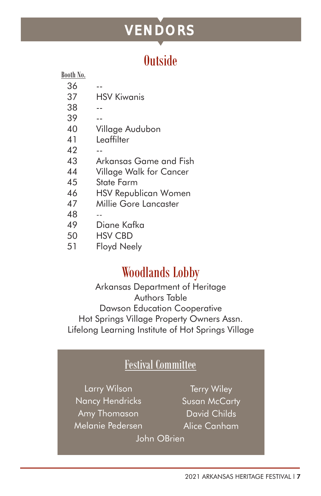# VENDORS

## **Outside**

| ٠ |  |
|---|--|
|   |  |

36

37 HSV Kiwanis

--

- 38 --
- 39
- 40 Village Audubon
- 41 **Leaffilter**

--

- $\Delta$ --
- 43 Arkansas Game and Fish
- 44 Village Walk for Cancer
- 45 State Farm
- 46 HSV Republican Women
- 47 Millie Gore Lancaster
- 48 --
- 49 Diane Kafka
- 50 HSV CBD
- 51 Floyd Neely

## Woodlands Lobby

Arkansas Department of Heritage Authors Table Dawson Education Cooperative Hot Springs Village Property Owners Assn. Lifelong Learning Institute of Hot Springs Village

#### Festival Committee

Larry Wilson Nancy Hendricks Amy Thomason Melanie Pedersen

Terry Wiley Susan McCarty David Childs Alice Canham

John OBrien